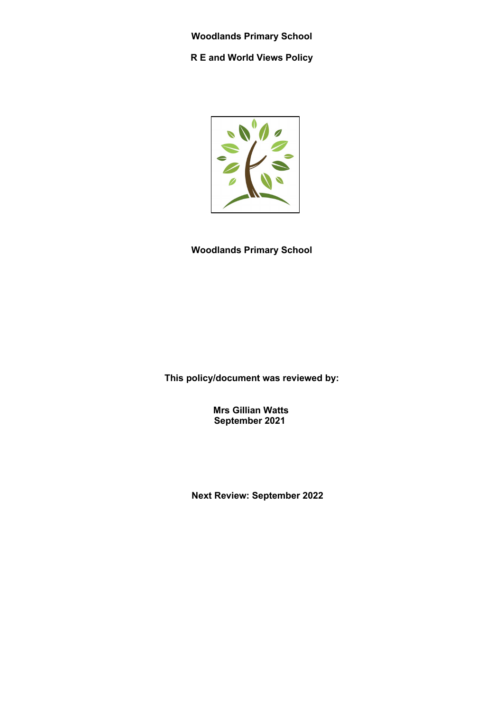**Woodlands Primary School R E and World Views Policy**



**Woodlands Primary School**

**This policy/document was reviewed by:**

 **Mrs Gillian Watts September 2021**

 **Next Review: September 2022**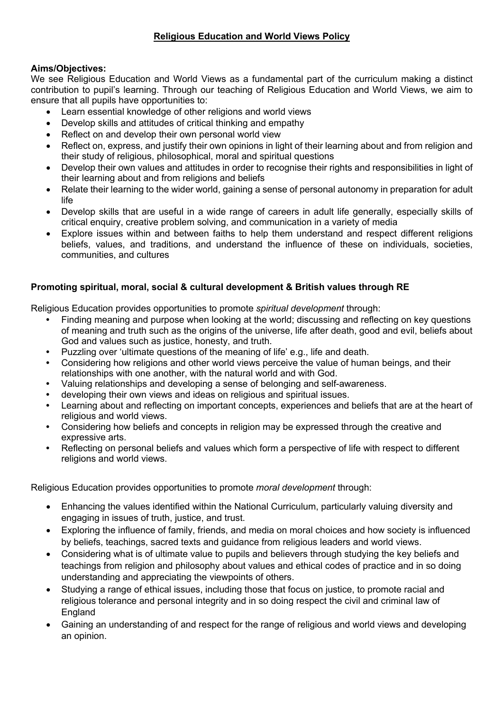## **Aims/Objectives:**

We see Religious Education and World Views as a fundamental part of the curriculum making a distinct contribution to pupil's learning. Through our teaching of Religious Education and World Views, we aim to ensure that all pupils have opportunities to:

- Learn essential knowledge of other religions and world views
- Develop skills and attitudes of critical thinking and empathy
- Reflect on and develop their own personal world view
- Reflect on, express, and justify their own opinions in light of their learning about and from religion and their study of religious, philosophical, moral and spiritual questions
- Develop their own values and attitudes in order to recognise their rights and responsibilities in light of their learning about and from religions and beliefs
- Relate their learning to the wider world, gaining a sense of personal autonomy in preparation for adult life
- Develop skills that are useful in a wide range of careers in adult life generally, especially skills of critical enquiry, creative problem solving, and communication in a variety of media
- Explore issues within and between faiths to help them understand and respect different religions beliefs, values, and traditions, and understand the influence of these on individuals, societies, communities, and cultures

# **Promoting spiritual, moral, social & cultural development & British values through RE**

Religious Education provides opportunities to promote *spiritual development* through:

- **•** Finding meaning and purpose when looking at the world; discussing and reflecting on key questions of meaning and truth such as the origins of the universe, life after death, good and evil, beliefs about God and values such as justice, honesty, and truth.
- **•** Puzzling over 'ultimate questions of the meaning of life' e.g., life and death.
- **•** Considering how religions and other world views perceive the value of human beings, and their relationships with one another, with the natural world and with God.
- **•** Valuing relationships and developing a sense of belonging and self-awareness.
- **•** developing their own views and ideas on religious and spiritual issues.
- **•** Learning about and reflecting on important concepts, experiences and beliefs that are at the heart of religious and world views.
- **•** Considering how beliefs and concepts in religion may be expressed through the creative and expressive arts.
- **•** Reflecting on personal beliefs and values which form a perspective of life with respect to different religions and world views.

Religious Education provides opportunities to promote *moral development* through:

- Enhancing the values identified within the National Curriculum, particularly valuing diversity and engaging in issues of truth, justice, and trust.
- Exploring the influence of family, friends, and media on moral choices and how society is influenced by beliefs, teachings, sacred texts and guidance from religious leaders and world views.
- Considering what is of ultimate value to pupils and believers through studying the key beliefs and teachings from religion and philosophy about values and ethical codes of practice and in so doing understanding and appreciating the viewpoints of others.
- Studying a range of ethical issues, including those that focus on justice, to promote racial and religious tolerance and personal integrity and in so doing respect the civil and criminal law of **England**
- Gaining an understanding of and respect for the range of religious and world views and developing an opinion.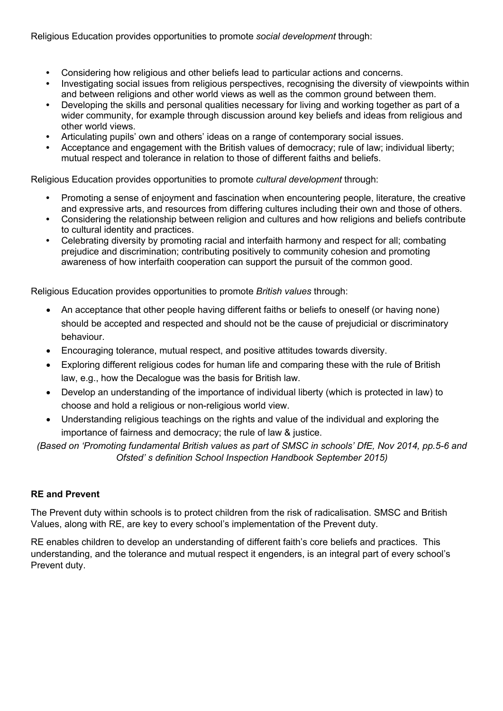Religious Education provides opportunities to promote *social development* through:

- **•** Considering how religious and other beliefs lead to particular actions and concerns.
- **•** Investigating social issues from religious perspectives, recognising the diversity of viewpoints within and between religions and other world views as well as the common ground between them.
- **•** Developing the skills and personal qualities necessary for living and working together as part of a wider community, for example through discussion around key beliefs and ideas from religious and other world views.
- **•** Articulating pupils' own and others' ideas on a range of contemporary social issues.
- **•** Acceptance and engagement with the British values of democracy; rule of law; individual liberty; mutual respect and tolerance in relation to those of different faiths and beliefs.

Religious Education provides opportunities to promote *cultural development* through:

- **•** Promoting a sense of enjoyment and fascination when encountering people, literature, the creative and expressive arts, and resources from differing cultures including their own and those of others.
- **•** Considering the relationship between religion and cultures and how religions and beliefs contribute to cultural identity and practices.
- **•** Celebrating diversity by promoting racial and interfaith harmony and respect for all; combating prejudice and discrimination; contributing positively to community cohesion and promoting awareness of how interfaith cooperation can support the pursuit of the common good.

Religious Education provides opportunities to promote *British values* through:

- An acceptance that other people having different faiths or beliefs to oneself (or having none) should be accepted and respected and should not be the cause of prejudicial or discriminatory behaviour.
- Encouraging tolerance, mutual respect, and positive attitudes towards diversity.
- Exploring different religious codes for human life and comparing these with the rule of British law, e.g., how the Decalogue was the basis for British law.
- Develop an understanding of the importance of individual liberty (which is protected in law) to choose and hold a religious or non-religious world view.
- Understanding religious teachings on the rights and value of the individual and exploring the importance of fairness and democracy; the rule of law & justice.

*(Based on 'Promoting fundamental British values as part of SMSC in schools' DfE, Nov 2014, pp.5-6 and Ofsted' s definition School Inspection Handbook September 2015)*

## **RE and Prevent**

The Prevent duty within schools is to protect children from the risk of radicalisation. SMSC and British Values, along with RE, are key to every school's implementation of the Prevent duty.

RE enables children to develop an understanding of different faith's core beliefs and practices. This understanding, and the tolerance and mutual respect it engenders, is an integral part of every school's Prevent duty.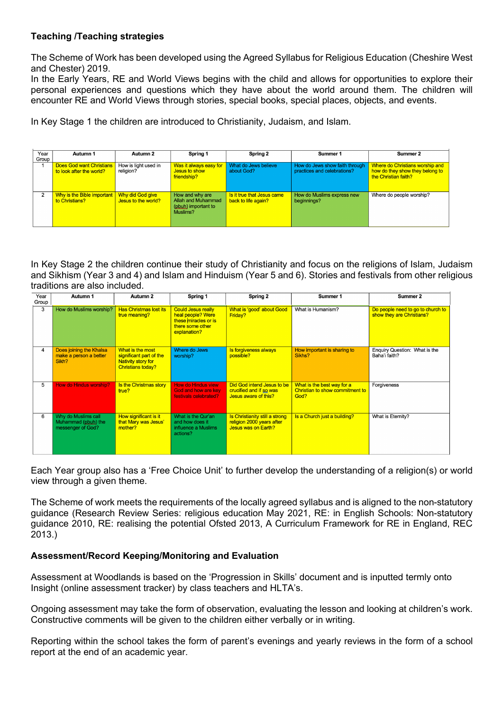### **Teaching /Teaching strategies**

The Scheme of Work has been developed using the Agreed Syllabus for Religious Education (Cheshire West and Chester) 2019.

In the Early Years, RE and World Views begins with the child and allows for opportunities to explore their personal experiences and questions which they have about the world around them. The children will encounter RE and World Views through stories, special books, special places, objects, and events.

In Key Stage 1 the children are introduced to Christianity, Judaism, and Islam.

| Year           | Autumn 1                                                    | Autumn 2                                | Spring 1                                                                 | Spring 2                                          | Summer 1                                                      | Summer 2                                                                                   |
|----------------|-------------------------------------------------------------|-----------------------------------------|--------------------------------------------------------------------------|---------------------------------------------------|---------------------------------------------------------------|--------------------------------------------------------------------------------------------|
| Group '        | <b>Does God want Christians</b><br>to look after the world? | How is light used in<br>religion?       | Was it always easy for<br>Jesus to show<br>friendship?                   | What do Jews believe<br>about God?                | How do Jews show faith through<br>practices and celebrations? | Where do Christians worship and<br>how do they show they belong to<br>the Christian faith? |
| $\overline{2}$ | Why is the Bible important<br>to Christians?                | Why did God give<br>Jesus to the world? | How and why are<br>Allah and Muhammad<br>(pbuh) important to<br>Muslims? | Is it true that Jesus came<br>back to life again? | How do Muslims express new<br>beginnings?                     | Where do people worship?                                                                   |

In Key Stage 2 the children continue their study of Christianity and focus on the religions of Islam, Judaism and Sikhism (Year 3 and 4) and Islam and Hinduism (Year 5 and 6). Stories and festivals from other religious traditions are also included.

| Year<br>Group | Autumn 1                                                        | Autumn 2                                                                                             | Spring 1                                                                                                   | Spring 2                                                                           | Summer 1                                                              | Summer 2                                                       |
|---------------|-----------------------------------------------------------------|------------------------------------------------------------------------------------------------------|------------------------------------------------------------------------------------------------------------|------------------------------------------------------------------------------------|-----------------------------------------------------------------------|----------------------------------------------------------------|
| 3             | How do Muslims worship?                                         | <b>Has Christmas lost its</b><br>true meaning?                                                       | <b>Could Jesus really</b><br>heal people? Were<br>these miracles or is<br>there some other<br>explanation? | What is 'good' about Good<br>Friday?                                               | What is Humanism?                                                     | Do people need to go to church to<br>show they are Christians? |
| 4             | Does joining the Khalsa<br>make a person a better<br>Sikh?      | What is the most<br>significant part of the<br><b>Nativity story for</b><br><b>Christians today?</b> | Where do Jews<br>worship?                                                                                  | Is forgiveness always<br>possible?                                                 | How important is sharing to<br>Sikhs?                                 | Enquiry Question: What is the<br>Baha'i faith?                 |
| 5             | <b>How do Hindus worship?</b>                                   | Is the Christmas story<br>true?                                                                      | <b>How do Hindus view</b><br>God and how are key<br>festivals celebrated?                                  | Did God intend Jesus to be<br>crucified and if so was<br>Jesus aware of this?      | What is the best way for a<br>Christian to show commitment to<br>God? | Forgiveness                                                    |
| 6             | Why do Muslims call<br>Muhammad (pbuh) the<br>messenger of God? | How significant is it<br>that Mary was Jesus'<br>mother?                                             | What is the Qur'an<br>and how does it<br>influence a Muslims<br>actions?                                   | Is Christianity still a strong<br>religion 2000 years after<br>Jesus was on Earth? | Is a Church just a building?                                          | What is Eternity?                                              |

Each Year group also has a 'Free Choice Unit' to further develop the understanding of a religion(s) or world view through a given theme.

The Scheme of work meets the requirements of the locally agreed syllabus and is aligned to the non-statutory guidance (Research Review Series: religious education May 2021, RE: in English Schools: Non-statutory guidance 2010, RE: realising the potential Ofsted 2013, A Curriculum Framework for RE in England, REC 2013.)

## **Assessment/Record Keeping/Monitoring and Evaluation**

Assessment at Woodlands is based on the 'Progression in Skills' document and is inputted termly onto Insight (online assessment tracker) by class teachers and HLTA's.

Ongoing assessment may take the form of observation, evaluating the lesson and looking at children's work. Constructive comments will be given to the children either verbally or in writing.

Reporting within the school takes the form of parent's evenings and yearly reviews in the form of a school report at the end of an academic year.